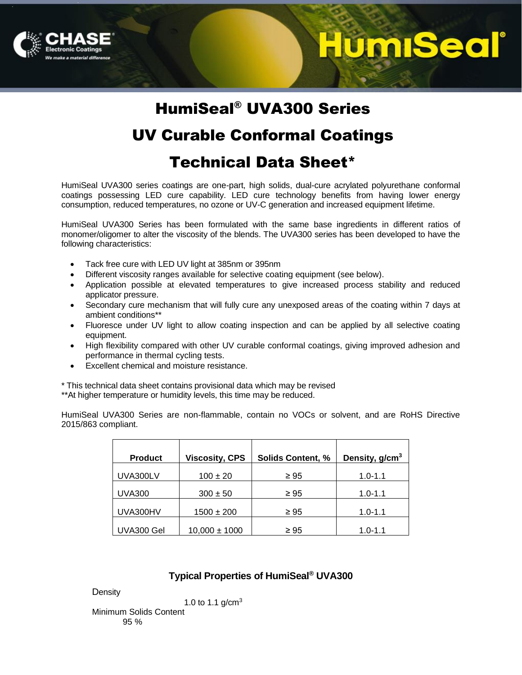

## <u>IumiSeal</u>

### HumiSeal® UVA300 Series

### UV Curable Conformal Coatings

### Technical Data Sheet\*

HumiSeal UVA300 series coatings are one-part, high solids, dual-cure acrylated polyurethane conformal coatings possessing LED cure capability. LED cure technology benefits from having lower energy consumption, reduced temperatures, no ozone or UV-C generation and increased equipment lifetime.

HumiSeal UVA300 Series has been formulated with the same base ingredients in different ratios of monomer/oligomer to alter the viscosity of the blends. The UVA300 series has been developed to have the following characteristics:

- Tack free cure with LED UV light at 385nm or 395nm
- Different viscosity ranges available for selective coating equipment (see below).
- Application possible at elevated temperatures to give increased process stability and reduced applicator pressure.
- Secondary cure mechanism that will fully cure any unexposed areas of the coating within 7 days at ambient conditions\*\*
- Fluoresce under UV light to allow coating inspection and can be applied by all selective coating equipment.
- High flexibility compared with other UV curable conformal coatings, giving improved adhesion and performance in thermal cycling tests.
- Excellent chemical and moisture resistance.

\* This technical data sheet contains provisional data which may be revised

\*\*At higher temperature or humidity levels, this time may be reduced.

HumiSeal UVA300 Series are non-flammable, contain no VOCs or solvent, and are RoHS Directive 2015/863 compliant.

| <b>Product</b> | <b>Viscosity, CPS</b> | <b>Solids Content, %</b> | Density, g/cm <sup>3</sup> |
|----------------|-----------------------|--------------------------|----------------------------|
| UVA300LV       | $100 \pm 20$          | $\geq 95$                | $1.0 - 1.1$                |
| <b>UVA300</b>  | $300 \pm 50$          | $\geq 95$                | $1.0 - 1.1$                |
| UVA300HV       | $1500 \pm 200$        | $\geq 95$                | $1.0 - 1.1$                |
| UVA300 Gel     | $10,000 \pm 1000$     | $\geq 95$                | $1.0 - 1.1$                |

### **Typical Properties of HumiSeal® UVA300**

**Density** 

1.0 to 1.1  $q/cm<sup>3</sup>$ 

Minimum Solids Content 95 %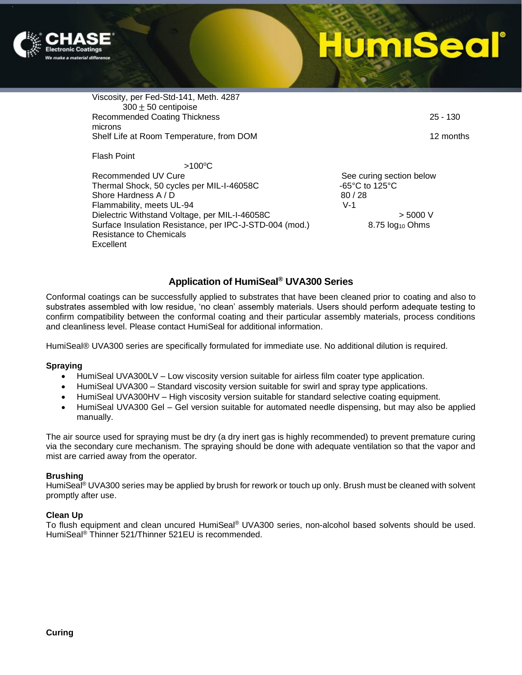

Viscosity, per Fed-Std-141, Meth. 4287  $300 \pm 50$  centipoise Recommended Coating Thickness 25 - 130 microns Shelf Life at Room Temperature, from DOM 12 months

Flash Point

 $>100^{\circ}$ C

Recommended UV Cure **See Curing See Curing section below** See curing section below Thermal Shock, 50 cycles per MIL-I-46058C  $-65^{\circ}$ C to 125°C Shore Hardness A / D 80 / 28 Flammability, meets UL-94 V-1 Dielectric Withstand Voltage, per MIL-I-46058C  $\rightarrow$  5000 V Surface Insulation Resistance, per IPC-J-STD-004 (mod.) 8.75 log<sub>10</sub> Ohms Resistance to Chemicals **Excellent** 

### **Application of HumiSeal® UVA300 Series**

Conformal coatings can be successfully applied to substrates that have been cleaned prior to coating and also to substrates assembled with low residue, 'no clean' assembly materials. Users should perform adequate testing to confirm compatibility between the conformal coating and their particular assembly materials, process conditions and cleanliness level. Please contact HumiSeal for additional information.

HumiSeal® UVA300 series are specifically formulated for immediate use. No additional dilution is required.

### **Spraying**

- HumiSeal UVA300LV Low viscosity version suitable for airless film coater type application.
- HumiSeal UVA300 Standard viscosity version suitable for swirl and spray type applications.
- HumiSeal UVA300HV High viscosity version suitable for standard selective coating equipment.
- HumiSeal UVA300 Gel Gel version suitable for automated needle dispensing, but may also be applied manually.

The air source used for spraying must be dry (a dry inert gas is highly recommended) to prevent premature curing via the secondary cure mechanism. The spraying should be done with adequate ventilation so that the vapor and mist are carried away from the operator.

### **Brushing**

HumiSeal<sup>®</sup> UVA300 series may be applied by brush for rework or touch up only. Brush must be cleaned with solvent promptly after use.

### **Clean Up**

To flush equipment and clean uncured HumiSeal® UVA300 series, non-alcohol based solvents should be used. HumiSeal® Thinner 521/Thinner 521EU is recommended.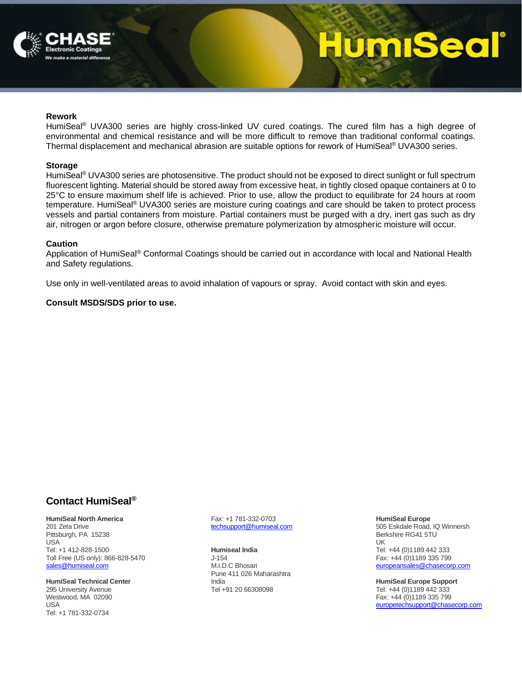

## **ImiSeal**

#### **Rework**

HumiSeal<sup>®</sup> UVA300 series are highly cross-linked UV cured coatings. The cured film has a high degree of environmental and chemical resistance and will be more difficult to remove than traditional conformal coatings. Thermal displacement and mechanical abrasion are suitable options for rework of HumiSeal® UVA300 series.

#### **Storage**

HumiSeal<sup>®</sup> UVA300 series are photosensitive. The product should not be exposed to direct sunlight or full spectrum fluorescent lighting. Material should be stored away from excessive heat, in tightly closed opaque containers at 0 to 25°C to ensure maximum shelf life is achieved. Prior to use, allow the product to equilibrate for 24 hours at room temperature. HumiSeal® UVA300 series are moisture curing coatings and care should be taken to protect process vessels and partial containers from moisture. Partial containers must be purged with a dry, inert gas such as dry air, nitrogen or argon before closure, otherwise premature polymerization by atmospheric moisture will occur.

#### **Caution**

Application of HumiSeal® Conformal Coatings should be carried out in accordance with local and National Health and Safety regulations.

Use only in well-ventilated areas to avoid inhalation of vapours or spray. Avoid contact with skin and eyes.

### **Consult MSDS/SDS prior to use.**

### **Contact HumiSeal®**

**HumiSeal North America** 201 Zeta Drive Pittsburgh, PA 15238 USA Tel: +1 412-828-1500 Toll Free (US only): 866-828-5470 [sales@humiseal.com](mailto:sales@humiseal.com)

**HumiSeal Technical Center** 295 University Avenue Westwood, MA 02090 USA Tel: +1 781-332-0734

Fax: +1 781-332-0703 [techsupport@humiseal.com](mailto:techsupport@humiseal.com)

**Humiseal India** J-154 M.I.D.C Bhosari Pune 411 026 Maharashtra India Tel +91 20 66308098

**HumiSeal Europe** 505 Eskdale Road, IQ Winnersh Berkshire RG41 5TU UK Tel: +44 (0)1189 442 333 Fax: +44 (0)1189 335 799 [europeansales@chasecorp.com](mailto:europeansales@chasecorp.com) 

**HumiSeal Europe Support** Tel: +44 (0)1189 442 333 Fax: +44 (0)1189 335 799 [europetechsupport@chasecorp.com](mailto:europetechsupport@chasecorp.com)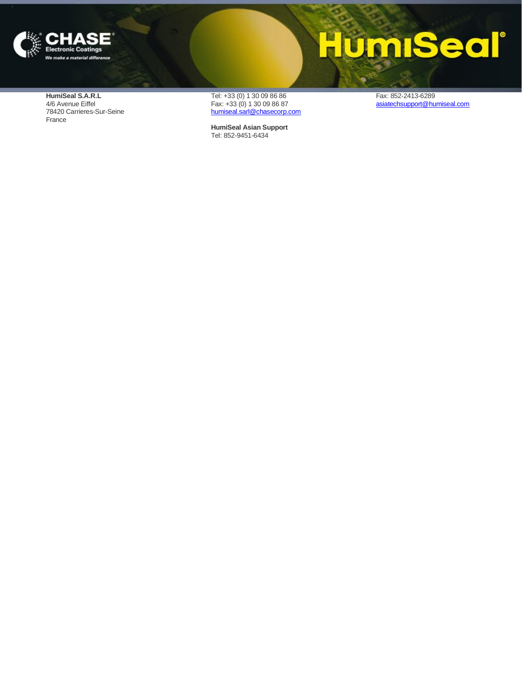

## **HumiSeal**®

**HumiSeal S.A.R.L** 4/6 Avenue Eiffel 78420 Carrieres -Sur -Seine France

Tel: +33 (0) 1 30 09 86 86 Fax: +33 (0) 1 30 09 86 87 [humiseal.sarl@chasecorp.com](mailto:humiseal.sarl@chasecorp.com)

**HumiSeal Asian Support** Tel: 852 -9451 -6434

Fax: 852 -2413 -6289 [asiatechsupport@humiseal.com](mailto:asiatechsupport@humiseal.com)